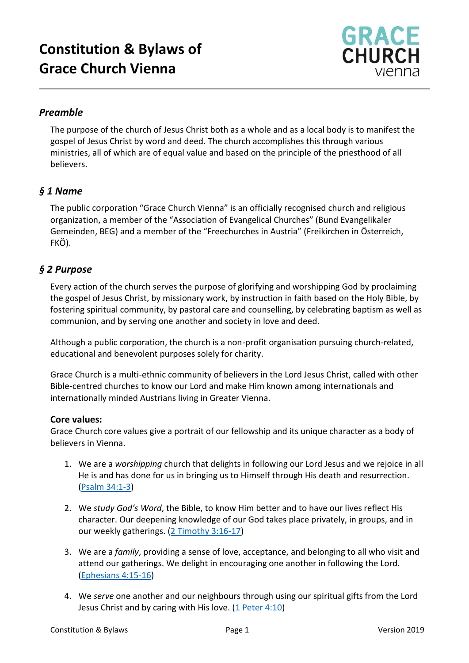

# *Preamble*

The purpose of the church of Jesus Christ both as a whole and as a local body is to manifest the gospel of Jesus Christ by word and deed. The church accomplishes this through various ministries, all of which are of equal value and based on the principle of the priesthood of all believers.

## *§ 1 Name*

The public corporation "Grace Church Vienna" is an officially recognised church and religious organization, a member of the "Association of Evangelical Churches" (Bund Evangelikaler Gemeinden, BEG) and a member of the "Freechurches in Austria" (Freikirchen in Österreich, FKÖ).

## *§ 2 Purpose*

Every action of the church serves the purpose of glorifying and worshipping God by proclaiming the gospel of Jesus Christ, by missionary work, by instruction in faith based on the Holy Bible, by fostering spiritual community, by pastoral care and counselling, by celebrating baptism as well as communion, and by serving one another and society in love and deed.

Although a public corporation, the church is a non-profit organisation pursuing church-related, educational and benevolent purposes solely for charity.

Grace Church is a multi-ethnic community of believers in the Lord Jesus Christ, called with other Bible-centred churches to know our Lord and make Him known among internationals and internationally minded Austrians living in Greater Vienna.

#### **Core values:**

Grace Church core values give a portrait of our fellowship and its unique character as a body of believers in Vienna.

- 1. We are a *worshipping* church that delights in following our Lord Jesus and we rejoice in all He is and has done for us in bringing us to Himself through His death and resurrection. [\(Psalm 34:1-3\)](https://www.biblegateway.com/passage/?search=Psalm+34%3A1-3&version=ESV)
- 2. We *study God's Word*, the Bible, to know Him better and to have our lives reflect His character. Our deepening knowledge of our God takes place privately, in groups, and in our weekly gatherings. [\(2 Timothy 3:16-17\)](https://www.biblegateway.com/passage/?search=2+Timothy+3%3A16-17&version=ESV)
- 3. We are a *family*, providing a sense of love, acceptance, and belonging to all who visit and attend our gatherings. We delight in encouraging one another in following the Lord. [\(Ephesians 4:15-16\)](https://www.biblegateway.com/passage/?search=Ephesians+4%3A15-16&version=ESV)
- 4. We *serve* one another and our neighbours through using our spiritual gifts from the Lord Jesus Christ and by caring with His love. [\(1 Peter 4:10\)](https://www.biblegateway.com/passage/?search=1+Peter+4%3A10&version=ESV)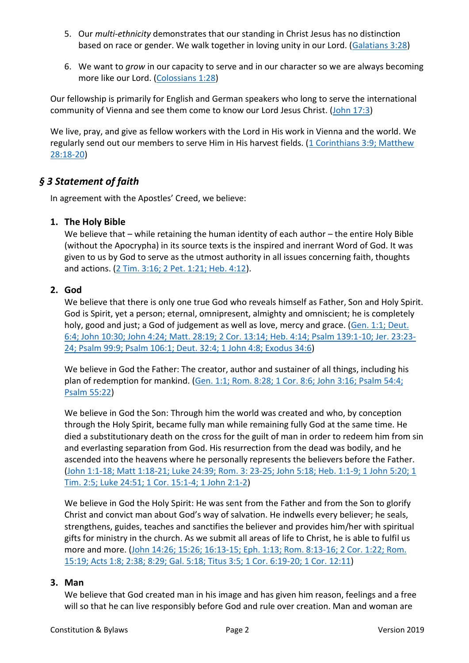- 5. Our *multi-ethnicity* demonstrates that our standing in Christ Jesus has no distinction based on race or gender. We walk together in loving unity in our Lord. [\(Galatians 3:28\)](https://www.biblegateway.com/passage/?search=Galatians+3%3A28&version=ESV)
- 6. We want to *grow* in our capacity to serve and in our character so we are always becoming more like our Lord. [\(Colossians 1:28\)](https://www.biblegateway.com/passage/?search=Colossians+1%3A28&version=ESV)

Our fellowship is primarily for English and German speakers who long to serve the international community of Vienna and see them come to know our Lord Jesus Christ. [\(John 17:3\)](https://www.biblegateway.com/passage/?search=John+17%3A3&version=ESV)

We live, pray, and give as fellow workers with the Lord in His work in Vienna and the world. We regularly send out our members to serve Him in His harvest fields. [\(1 Corinthians 3:9;](https://www.biblegateway.com/passage/?search=1+Corinthians+3%3A9%3B+Matthew+28%3A18-20&version=ESV) Matthew [28:18-20\)](https://www.biblegateway.com/passage/?search=1+Corinthians+3%3A9%3B+Matthew+28%3A18-20&version=ESV)

# *§ 3 Statement of faith*

In agreement with the Apostles' Creed, we believe:

## **1. The Holy Bible**

We believe that – while retaining the human identity of each author – the entire Holy Bible (without the Apocrypha) in its source texts is the inspired and inerrant Word of God. It was given to us by God to serve as the utmost authority in all issues concerning faith, thoughts and actions. [\(2 Tim. 3:16; 2 Pet. 1:21; Heb. 4:12\)](https://www.biblegateway.com/passage/?search=2+Tim.+3%3A16%3B+2+Pet.+1%3A21%3B+Heb.+4%3A12&version=ESV).

## **2. God**

We believe that there is only one true God who reveals himself as Father, Son and Holy Spirit. God is Spirit, yet a person; eternal, omnipresent, almighty and omniscient; he is completely holy, good and just; a God of judgement as well as love, mercy and grace. [\(Gen. 1:1; Deut.](https://www.biblegateway.com/passage/?search=Gen.+1%3A1%3B+Deut.+6%3A4%3B+John+10%3A30%3B+John+4%3A24%3B+Matt.+28%3A19%3B+2+Cor.+13%3A14%3B+Heb.+4%3A14%3B+Psalm+139%3A1-10%3B+Jer.+23%3A23-24%3B+Psalm+99%3A9%3B+Psalm+106%3A1%3B+Deut.+32%3A4%3B+1+John+4%3A8%3B+Ex.+34%3A6&version=ESV)  [6:4; John 10:30; John 4:24; Matt. 28:19; 2 Cor. 13:14; Heb. 4:14; Psalm 139:1-10; Jer. 23:23-](https://www.biblegateway.com/passage/?search=Gen.+1%3A1%3B+Deut.+6%3A4%3B+John+10%3A30%3B+John+4%3A24%3B+Matt.+28%3A19%3B+2+Cor.+13%3A14%3B+Heb.+4%3A14%3B+Psalm+139%3A1-10%3B+Jer.+23%3A23-24%3B+Psalm+99%3A9%3B+Psalm+106%3A1%3B+Deut.+32%3A4%3B+1+John+4%3A8%3B+Ex.+34%3A6&version=ESV) [24; Psalm 99:9; Psalm 106:1; Deut. 32:4; 1](https://www.biblegateway.com/passage/?search=Gen.+1%3A1%3B+Deut.+6%3A4%3B+John+10%3A30%3B+John+4%3A24%3B+Matt.+28%3A19%3B+2+Cor.+13%3A14%3B+Heb.+4%3A14%3B+Psalm+139%3A1-10%3B+Jer.+23%3A23-24%3B+Psalm+99%3A9%3B+Psalm+106%3A1%3B+Deut.+32%3A4%3B+1+John+4%3A8%3B+Ex.+34%3A6&version=ESV) John 4:8; Exodus 34:6)

We believe in God the Father: The creator, author and sustainer of all things, including his plan of redemption for mankind. [\(Gen. 1:1; Rom. 8:28; 1 Cor. 8:6; John 3:16;](https://www.biblegateway.com/passage/?search=Gen.+1%3A1%3B+Rom.+8%3A28%3B+1+Cor.+8%3A6%3B+John+3%3A16%3B+Psalm+54%3A4%3B+Psalm+55%3A22&version=ESV) Psalm 54:4; Psalm [55:22\)](https://www.biblegateway.com/passage/?search=Gen.+1%3A1%3B+Rom.+8%3A28%3B+1+Cor.+8%3A6%3B+John+3%3A16%3B+Psalm+54%3A4%3B+Psalm+55%3A22&version=ESV)

We believe in God the Son: Through him the world was created and who, by conception through the Holy Spirit, became fully man while remaining fully God at the same time. He died a substitutionary death on the cross for the guilt of man in order to redeem him from sin and everlasting separation from God. His resurrection from the dead was bodily, and he ascended into the heavens where he personally represents the believers before the Father. [\(John 1:1-18; Matt 1:18-21; Luke 24:39; Rom. 3: 23-25; John 5:18; Heb. 1:1-9; 1 John 5:20; 1](https://www.biblegateway.com/passage/?search=John+1%3A1-18%3B+Matt+1%3A18-21%3B+Luke+24%3A39%3B+Rom.+3%3A+23-25%3B+John+5%3A18%3B+Heb.+1%3A1-9%3B+1+John+5%3A20%3B+1+Tim.+2%3A5%3B+Luke+24%3A51%3B+1+Cor.+15%3A1-4%3B+1+John+2%3A1-2&version=ESV)  [Tim. 2:5; Luke 24:51; 1 Cor. 15:1-4; 1 John 2:1-2\)](https://www.biblegateway.com/passage/?search=John+1%3A1-18%3B+Matt+1%3A18-21%3B+Luke+24%3A39%3B+Rom.+3%3A+23-25%3B+John+5%3A18%3B+Heb.+1%3A1-9%3B+1+John+5%3A20%3B+1+Tim.+2%3A5%3B+Luke+24%3A51%3B+1+Cor.+15%3A1-4%3B+1+John+2%3A1-2&version=ESV)

We believe in God the Holy Spirit: He was sent from the Father and from the Son to glorify Christ and convict man about God's way of salvation. He indwells every believer; he seals, strengthens, guides, teaches and sanctifies the believer and provides him/her with spiritual gifts for ministry in the church. As we submit all areas of life to Christ, he is able to fulfil us more and more. (John 14:26; 15:26; [16:13-15; Eph. 1:13; Rom. 8:13-16; 2 Cor. 1:22; Rom.](https://www.biblegateway.com/passage/?search=John+14%3A26%3B+15%3A26%3B+16%3A13-15%3B+Eph.+1%3A13%3B+Rom.+8%3A13-16%3B+2+Cor.+1%3A22%3B+Rom.+15%3A19%3B+Acts+1%3A8%3B+2%3A38%3B+8%3A29%3B+Gal.+5%3A18%3B+Titus+3%3A5%3B+1+Cor.+6%3A19-20%3B+1+Cor.+12%3A11&version=ESV)  15:19; Acts 1:8; 2:38; [8:29; Gal. 5:18; Titus 3:5; 1 Cor. 6:19-20; 1 Cor.](https://www.biblegateway.com/passage/?search=John+14%3A26%3B+15%3A26%3B+16%3A13-15%3B+Eph.+1%3A13%3B+Rom.+8%3A13-16%3B+2+Cor.+1%3A22%3B+Rom.+15%3A19%3B+Acts+1%3A8%3B+2%3A38%3B+8%3A29%3B+Gal.+5%3A18%3B+Titus+3%3A5%3B+1+Cor.+6%3A19-20%3B+1+Cor.+12%3A11&version=ESV) 12:11)

#### **3. Man**

We believe that God created man in his image and has given him reason, feelings and a free will so that he can live responsibly before God and rule over creation. Man and woman are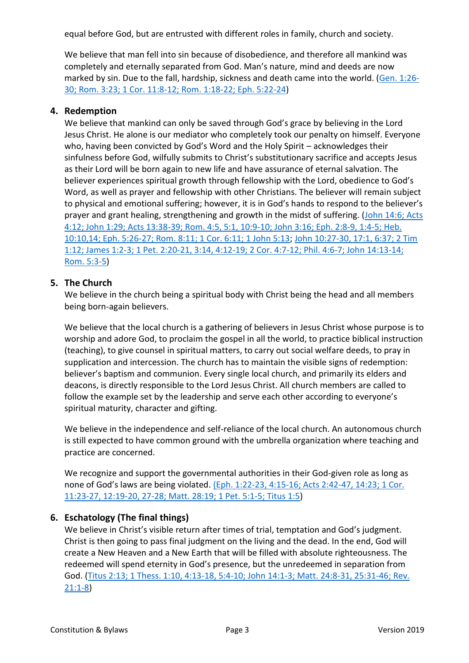equal before God, but are entrusted with different roles in family, church and society.

We believe that man fell into sin because of disobedience, and therefore all mankind was completely and eternally separated from God. Man's nature, mind and deeds are now marked by sin. Due to the fall, hardship, sickness and death came into the world. [\(Gen. 1:26-](https://www.biblegateway.com/passage/?search=Gen.+1%3A26-30%3B+Rom.+3%3A23%3B+1+Cor.+11%3A8-12%3B+Rom.+1%3A18-22%3B+Eph.+5%3A22-24&version=ESV) [30; Rom. 3:23; 1 Cor. 11:8-12;](https://www.biblegateway.com/passage/?search=Gen.+1%3A26-30%3B+Rom.+3%3A23%3B+1+Cor.+11%3A8-12%3B+Rom.+1%3A18-22%3B+Eph.+5%3A22-24&version=ESV) Rom. 1:18-22; Eph. 5:22-24)

#### **4. Redemption**

We believe that mankind can only be saved through God's grace by believing in the Lord Jesus Christ. He alone is our mediator who completely took our penalty on himself. Everyone who, having been convicted by God's Word and the Holy Spirit – acknowledges their sinfulness before God, wilfully submits to Christ's substitutionary sacrifice and accepts Jesus as their Lord will be born again to new life and have assurance of eternal salvation. The believer experiences spiritual growth through fellowship with the Lord, obedience to God's Word, as well as prayer and fellowship with other Christians. The believer will remain subject to physical and emotional suffering; however, it is in God's hands to respond to the believer's prayer and grant healing, strengthening and growth in the midst of suffering. [\(John 14:6;](https://www.biblegateway.com/passage/?search=John+14%3A6%3B+Acts+4%3A12%3B+John+1%3A29%3B+Acts+13%3A38-39%3B+Rom.+4%3A5%2C+5%3A1%2C+10%3A9-10%3B+John+3%3A16%3B+Eph.+2%3A8-9%2C+1%3A4-5%3B+Heb.+10%3A10%2C14%3B+Eph.+5%3A26-27%3B+Rom.+8%3A11%3B+1+Cor.+6%3A11%3B+1+John+5%3A13&version=ESV) Acts [4:12; John 1:29; Acts 13:38-39; Rom. 4:5, 5:1, 10:9-10; John 3:16; Eph. 2:8-9, 1:4-5; Heb.](https://www.biblegateway.com/passage/?search=John+14%3A6%3B+Acts+4%3A12%3B+John+1%3A29%3B+Acts+13%3A38-39%3B+Rom.+4%3A5%2C+5%3A1%2C+10%3A9-10%3B+John+3%3A16%3B+Eph.+2%3A8-9%2C+1%3A4-5%3B+Heb.+10%3A10%2C14%3B+Eph.+5%3A26-27%3B+Rom.+8%3A11%3B+1+Cor.+6%3A11%3B+1+John+5%3A13&version=ESV)  [10:10,14; Eph. 5:26-27; Rom. 8:11; 1 Cor. 6:11; 1 John 5:13;](https://www.biblegateway.com/passage/?search=John+14%3A6%3B+Acts+4%3A12%3B+John+1%3A29%3B+Acts+13%3A38-39%3B+Rom.+4%3A5%2C+5%3A1%2C+10%3A9-10%3B+John+3%3A16%3B+Eph.+2%3A8-9%2C+1%3A4-5%3B+Heb.+10%3A10%2C14%3B+Eph.+5%3A26-27%3B+Rom.+8%3A11%3B+1+Cor.+6%3A11%3B+1+John+5%3A13&version=ESV) [John 10:27-30, 17:1, 6:37; 2 Tim](https://www.biblegateway.com/passage/?search=John+10%3A27-30%2C+17%3A1%2C+6%3A37%3B+2+Tim+1%3A12%3B+James+1%3A2-3%3B+1+Pet.+2%3A20-21%2C+3%3A14%2C+4%3A12-19%3B+2+Cor.+4%3A7-12%3B+Phil.+4%3A6-7%3B+John+14%3A13-14%3B+Rom.+5%3A3-5&version=ESV)  [1:12; James 1:2-3; 1 Pet. 2:20-21, 3:14, 4:12-19; 2 Cor. 4:7-12; Phil. 4:6-7; John 14:13-14;](https://www.biblegateway.com/passage/?search=John+10%3A27-30%2C+17%3A1%2C+6%3A37%3B+2+Tim+1%3A12%3B+James+1%3A2-3%3B+1+Pet.+2%3A20-21%2C+3%3A14%2C+4%3A12-19%3B+2+Cor.+4%3A7-12%3B+Phil.+4%3A6-7%3B+John+14%3A13-14%3B+Rom.+5%3A3-5&version=ESV)  [Rom. 5:3-5\)](https://www.biblegateway.com/passage/?search=John+10%3A27-30%2C+17%3A1%2C+6%3A37%3B+2+Tim+1%3A12%3B+James+1%3A2-3%3B+1+Pet.+2%3A20-21%2C+3%3A14%2C+4%3A12-19%3B+2+Cor.+4%3A7-12%3B+Phil.+4%3A6-7%3B+John+14%3A13-14%3B+Rom.+5%3A3-5&version=ESV)

### **5. The Church**

We believe in the church being a spiritual body with Christ being the head and all members being born-again believers.

We believe that the local church is a gathering of believers in Jesus Christ whose purpose is to worship and adore God, to proclaim the gospel in all the world, to practice biblical instruction (teaching), to give counsel in spiritual matters, to carry out social welfare deeds, to pray in supplication and intercession. The church has to maintain the visible signs of redemption: believer's baptism and communion. Every single local church, and primarily its elders and deacons, is directly responsible to the Lord Jesus Christ. All church members are called to follow the example set by the leadership and serve each other according to everyone's spiritual maturity, character and gifting.

We believe in the independence and self-reliance of the local church. An autonomous church is still expected to have common ground with the umbrella organization where teaching and practice are concerned.

We recognize and support the governmental authorities in their God-given role as long as none of God's laws are being violated. [\(Eph. 1:22-23, 4:15-16; Acts 2:42-47, 14:23; 1 Cor.](https://www.biblegateway.com/passage/?search=%28Eph.+1%3A22-23%2C+4%3A15-16%3B+Acts+2%3A42-47%2C+14%3A23%3B+1+Cor.+11%3A23-27%2C+12%3A19-20%2C+27-28%3B+Matt.+28%3A19%3B+1+Pet.+5%3A1-5%3B+Titus+1%3A5&version=ESV)  [11:23-27, 12:19-20, 27-28; Matt. 28:19; 1 Pet. 5:1-5; Titus 1:5\)](https://www.biblegateway.com/passage/?search=%28Eph.+1%3A22-23%2C+4%3A15-16%3B+Acts+2%3A42-47%2C+14%3A23%3B+1+Cor.+11%3A23-27%2C+12%3A19-20%2C+27-28%3B+Matt.+28%3A19%3B+1+Pet.+5%3A1-5%3B+Titus+1%3A5&version=ESV)

## **6. Eschatology (The final things)**

We believe in Christ's visible return after times of trial, temptation and God's judgment. Christ is then going to pass final judgment on the living and the dead. In the end, God will create a New Heaven and a New Earth that will be filled with absolute righteousness. The redeemed will spend eternity in God's presence, but the unredeemed in separation from God. [\(Titus 2:13; 1 Thess. 1:10, 4:13-18, 5:4-10; John 14:1-3; Matt. 24:8-31, 25:31-46; Rev.](https://www.biblegateway.com/passage/?search=Titus+2%3A13%3B+1+Thess.+1%3A10%2C+4%3A13-18%2C+5%3A4-10%3B+John+14%3A1-3%3B+Matt.+24%3A8-31%2C+25%3A31-46%3B+Rev.+21%3A1-8&version=ESV)  [21:1-8\)](https://www.biblegateway.com/passage/?search=Titus+2%3A13%3B+1+Thess.+1%3A10%2C+4%3A13-18%2C+5%3A4-10%3B+John+14%3A1-3%3B+Matt.+24%3A8-31%2C+25%3A31-46%3B+Rev.+21%3A1-8&version=ESV)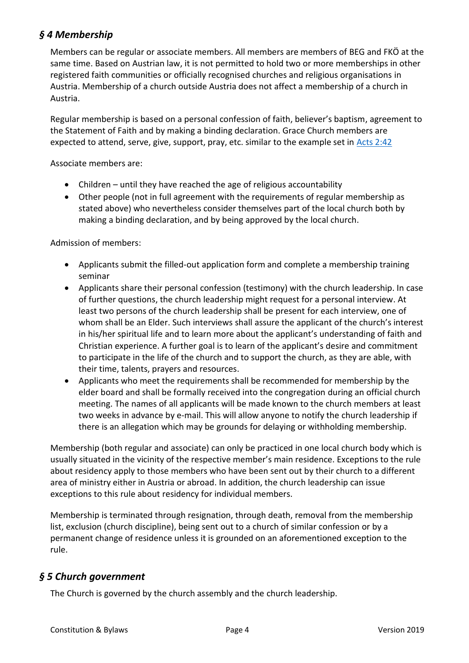# *§ 4 Membership*

Members can be regular or associate members. All members are members of BEG and FKÖ at the same time. Based on Austrian law, it is not permitted to hold two or more memberships in other registered faith communities or officially recognised churches and religious organisations in Austria. Membership of a church outside Austria does not affect a membership of a church in Austria.

Regular membership is based on a personal confession of faith, believer's baptism, agreement to the Statement of Faith and by making a binding declaration. Grace Church members are expected to attend, serve, give, support, pray, etc. similar to the example set in [Acts 2:42](https://www.biblegateway.com/passage/?search=Acts+2%3A42&version=ESV)

Associate members are:

- Children until they have reached the age of religious accountability
- Other people (not in full agreement with the requirements of regular membership as stated above) who nevertheless consider themselves part of the local church both by making a binding declaration, and by being approved by the local church.

Admission of members:

- Applicants submit the filled-out application form and complete a membership training seminar
- Applicants share their personal confession (testimony) with the church leadership. In case of further questions, the church leadership might request for a personal interview. At least two persons of the church leadership shall be present for each interview, one of whom shall be an Elder. Such interviews shall assure the applicant of the church's interest in his/her spiritual life and to learn more about the applicant's understanding of faith and Christian experience. A further goal is to learn of the applicant's desire and commitment to participate in the life of the church and to support the church, as they are able, with their time, talents, prayers and resources.
- Applicants who meet the requirements shall be recommended for membership by the elder board and shall be formally received into the congregation during an official church meeting. The names of all applicants will be made known to the church members at least two weeks in advance by e-mail. This will allow anyone to notify the church leadership if there is an allegation which may be grounds for delaying or withholding membership.

Membership (both regular and associate) can only be practiced in one local church body which is usually situated in the vicinity of the respective member's main residence. Exceptions to the rule about residency apply to those members who have been sent out by their church to a different area of ministry either in Austria or abroad. In addition, the church leadership can issue exceptions to this rule about residency for individual members.

Membership is terminated through resignation, through death, removal from the membership list, exclusion (church discipline), being sent out to a church of similar confession or by a permanent change of residence unless it is grounded on an aforementioned exception to the rule.

# *§ 5 Church government*

The Church is governed by the church assembly and the church leadership.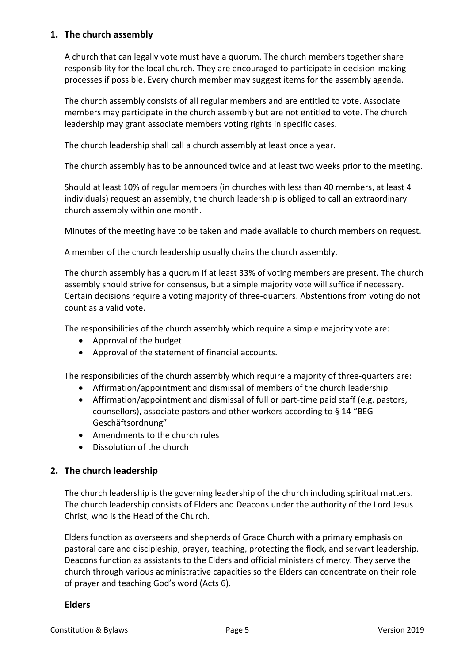### **1. The church assembly**

A church that can legally vote must have a quorum. The church members together share responsibility for the local church. They are encouraged to participate in decision-making processes if possible. Every church member may suggest items for the assembly agenda.

The church assembly consists of all regular members and are entitled to vote. Associate members may participate in the church assembly but are not entitled to vote. The church leadership may grant associate members voting rights in specific cases.

The church leadership shall call a church assembly at least once a year.

The church assembly has to be announced twice and at least two weeks prior to the meeting.

Should at least 10% of regular members (in churches with less than 40 members, at least 4 individuals) request an assembly, the church leadership is obliged to call an extraordinary church assembly within one month.

Minutes of the meeting have to be taken and made available to church members on request.

A member of the church leadership usually chairs the church assembly.

The church assembly has a quorum if at least 33% of voting members are present. The church assembly should strive for consensus, but a simple majority vote will suffice if necessary. Certain decisions require a voting majority of three-quarters. Abstentions from voting do not count as a valid vote.

The responsibilities of the church assembly which require a simple majority vote are:

- Approval of the budget
- Approval of the statement of financial accounts.

The responsibilities of the church assembly which require a majority of three-quarters are:

- Affirmation/appointment and dismissal of members of the church leadership
- Affirmation/appointment and dismissal of full or part-time paid staff (e.g. pastors, counsellors), associate pastors and other workers according to § 14 "BEG Geschäftsordnung"
- Amendments to the church rules
- Dissolution of the church

#### **2. The church leadership**

The church leadership is the governing leadership of the church including spiritual matters. The church leadership consists of Elders and Deacons under the authority of the Lord Jesus Christ, who is the Head of the Church.

Elders function as overseers and shepherds of Grace Church with a primary emphasis on pastoral care and discipleship, prayer, teaching, protecting the flock, and servant leadership. Deacons function as assistants to the Elders and official ministers of mercy. They serve the church through various administrative capacities so the Elders can concentrate on their role of prayer and teaching God's word (Acts 6).

#### **Elders**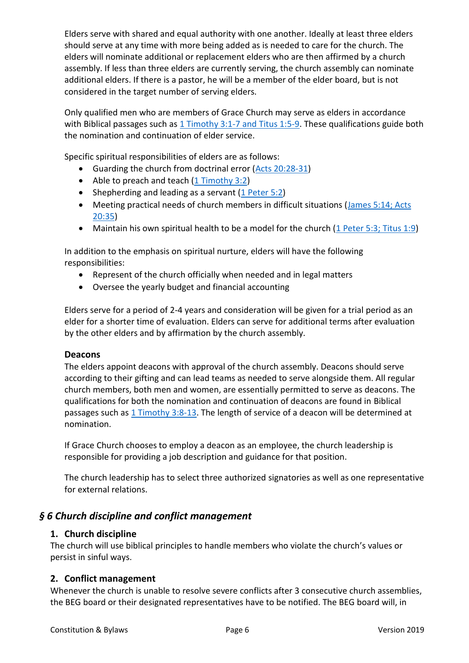Elders serve with shared and equal authority with one another. Ideally at least three elders should serve at any time with more being added as is needed to care for the church. The elders will nominate additional or replacement elders who are then affirmed by a church assembly. If less than three elders are currently serving, the church assembly can nominate additional elders. If there is a pastor, he will be a member of the elder board, but is not considered in the target number of serving elders.

Only qualified men who are members of Grace Church may serve as elders in accordance with Biblical passages such as [1 Timothy 3:1-7 and Titus 1:5-9.](https://www.biblegateway.com/passage/?search=1+Timothy+3%3A1-7%3B+Titus+1%3A5-9&version=ESV) These qualifications guide both the nomination and continuation of elder service.

Specific spiritual responsibilities of elders are as follows:

- Guarding the church from doctrinal error [\(Acts 20:28-31\)](https://www.biblegateway.com/passage/?search=Acts+20%3A28-31&version=ESV)
- Able to preach and teach [\(1 Timothy 3:2\)](https://www.biblegateway.com/passage/?search=1+Timothy+3%3A2&version=ESV)
- Shepherding and leading as a servant [\(1 Peter 5:2\)](https://www.biblegateway.com/passage/?search=1+Peter+5%3A2&version=ESV)
- Meeting practical needs of church members in difficult situations [\(James 5:14;](https://www.biblegateway.com/passage/?search=James+5%3A14%3B+Acts+20%3A35&version=ESV) Acts [20:35\)](https://www.biblegateway.com/passage/?search=James+5%3A14%3B+Acts+20%3A35&version=ESV)
- Maintain his own spiritual health to be a model for the church [\(1 Peter 5:3;](https://www.biblegateway.com/passage/?search=1+Peter+5%3A3%3B+Titus+1%3A9&version=ESV) Titus 1:9)

In addition to the emphasis on spiritual nurture, elders will have the following responsibilities:

- Represent of the church officially when needed and in legal matters
- Oversee the yearly budget and financial accounting

Elders serve for a period of 2-4 years and consideration will be given for a trial period as an elder for a shorter time of evaluation. Elders can serve for additional terms after evaluation by the other elders and by affirmation by the church assembly.

#### **Deacons**

The elders appoint deacons with approval of the church assembly. Deacons should serve according to their gifting and can lead teams as needed to serve alongside them. All regular church members, both men and women, are essentially permitted to serve as deacons. The qualifications for both the nomination and continuation of deacons are found in Biblical passages such as [1 Timothy 3:8-13.](https://www.biblegateway.com/passage/?search=1+Timothy+3%3A8-13&version=ESV) The length of service of a deacon will be determined at nomination.

If Grace Church chooses to employ a deacon as an employee, the church leadership is responsible for providing a job description and guidance for that position.

The church leadership has to select three authorized signatories as well as one representative for external relations.

## *§ 6 Church discipline and conflict management*

#### **1. Church discipline**

The church will use biblical principles to handle members who violate the church's values or persist in sinful ways.

#### **2. Conflict management**

Whenever the church is unable to resolve severe conflicts after 3 consecutive church assemblies, the BEG board or their designated representatives have to be notified. The BEG board will, in